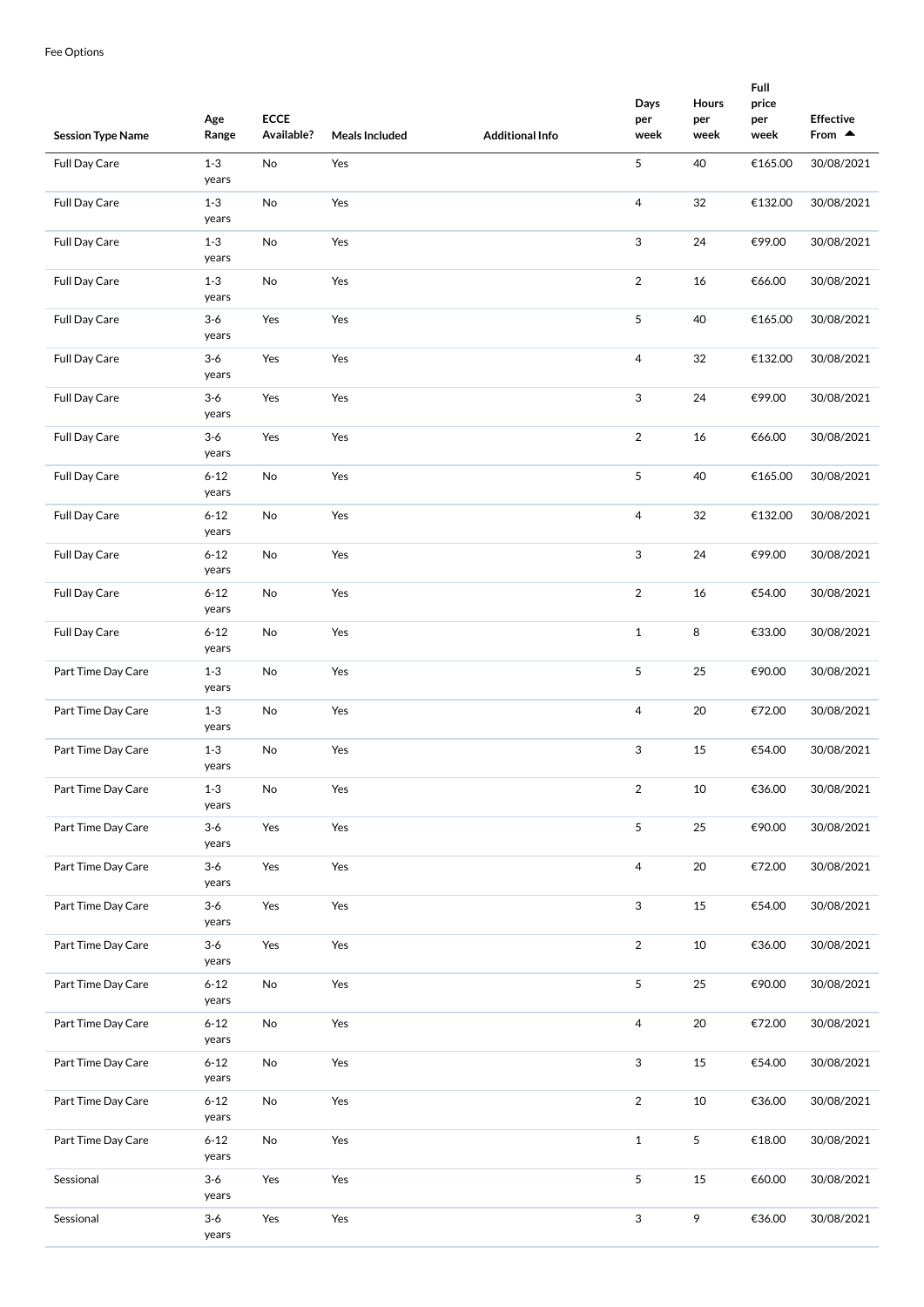| <b>Session Type Name</b> | Age<br>Range              | <b>ECCE</b><br>Available? | <b>Meals Included</b> | <b>Additional Info</b> | Days<br>per<br>week | Hours<br>per<br>week | Full<br>price<br>per<br>week | <b>Effective</b><br>From $\triangle$ |
|--------------------------|---------------------------|---------------------------|-----------------------|------------------------|---------------------|----------------------|------------------------------|--------------------------------------|
| Full Day Care            | $1-3$                     | No                        | Yes                   |                        | 5                   | 40                   | €165.00                      | 30/08/2021                           |
| Full Day Care            | years<br>$1 - 3$<br>years | No                        | Yes                   |                        | 4                   | 32                   | €132.00                      | 30/08/2021                           |
| Full Day Care            | $1 - 3$<br>years          | No                        | Yes                   |                        | 3                   | 24                   | €99.00                       | 30/08/2021                           |
| Full Day Care            | $1 - 3$<br>years          | No                        | Yes                   |                        | $\overline{2}$      | 16                   | €66.00                       | 30/08/2021                           |
| <b>Full Day Care</b>     | $3-6$<br>years            | Yes                       | Yes                   |                        | 5                   | 40                   | €165.00                      | 30/08/2021                           |
| Full Day Care            | $3-6$<br>years            | Yes                       | Yes                   |                        | $\overline{4}$      | 32                   | €132.00                      | 30/08/2021                           |
| Full Day Care            | $3-6$<br>years            | Yes                       | Yes                   |                        | 3                   | 24                   | €99.00                       | 30/08/2021                           |
| Full Day Care            | $3-6$<br>years            | Yes                       | Yes                   |                        | $\overline{2}$      | 16                   | €66.00                       | 30/08/2021                           |
| Full Day Care            | $6 - 12$<br>years         | No                        | Yes                   |                        | 5                   | 40                   | €165.00                      | 30/08/2021                           |
| <b>Full Day Care</b>     | $6 - 12$<br>years         | No                        | Yes                   |                        | 4                   | 32                   | €132.00                      | 30/08/2021                           |
| <b>Full Day Care</b>     | $6 - 12$<br>years         | No                        | Yes                   |                        | 3                   | 24                   | €99.00                       | 30/08/2021                           |
| <b>Full Day Care</b>     | $6 - 12$<br>years         | No                        | Yes                   |                        | $\overline{2}$      | 16                   | €54.00                       | 30/08/2021                           |
| Full Day Care            | $6 - 12$<br>years         | No                        | Yes                   |                        | $\mathbf 1$         | 8                    | €33.00                       | 30/08/2021                           |
| Part Time Day Care       | $1 - 3$<br>years          | No                        | Yes                   |                        | 5                   | 25                   | €90.00                       | 30/08/2021                           |
| Part Time Day Care       | $1 - 3$<br>years          | No                        | Yes                   |                        | $\overline{4}$      | 20                   | €72.00                       | 30/08/2021                           |
| Part Time Day Care       | $1 - 3$<br>years          | No                        | Yes                   |                        | 3                   | 15                   | €54.00                       | 30/08/2021                           |
| Part Time Day Care       | $1 - 3$<br>years          | No                        | Yes                   |                        | $\overline{2}$      | 10                   | €36.00                       | 30/08/2021                           |
| Part Time Day Care       | $3-6$<br>years            | Yes                       | Yes                   |                        | 5                   | 25                   | €90.00                       | 30/08/2021                           |
| Part Time Day Care       | $3-6$<br>years            | Yes                       | Yes                   |                        | 4                   | 20                   | €72.00                       | 30/08/2021                           |
| Part Time Day Care       | $3-6$<br>years            | Yes                       | Yes                   |                        | 3                   | 15                   | €54.00                       | 30/08/2021                           |
| Part Time Day Care       | $3 - 6$<br>years          | Yes                       | Yes                   |                        | $\overline{2}$      | $10\,$               | €36.00                       | 30/08/2021                           |
| Part Time Day Care       | $6 - 12$<br>years         | No                        | Yes                   |                        | 5                   | 25                   | €90.00                       | 30/08/2021                           |
| Part Time Day Care       | $6 - 12$<br>years         | No                        | Yes                   |                        | $\overline{4}$      | 20                   | €72.00                       | 30/08/2021                           |
| Part Time Day Care       | $6 - 12$<br>years         | No                        | Yes                   |                        | 3                   | 15                   | €54.00                       | 30/08/2021                           |
| Part Time Day Care       | $6 - 12$<br>years         | No                        | Yes                   |                        | $\overline{2}$      | 10                   | €36.00                       | 30/08/2021                           |
| Part Time Day Care       | $6 - 12$<br>years         | No                        | Yes                   |                        | $\mathbf 1$         | 5                    | €18.00                       | 30/08/2021                           |
| Sessional                | $3-6$<br>years            | Yes                       | Yes                   |                        | 5                   | 15                   | €60.00                       | 30/08/2021                           |
| Sessional                | $3-6$<br>years            | Yes                       | Yes                   |                        | 3                   | 9                    | €36.00                       | 30/08/2021                           |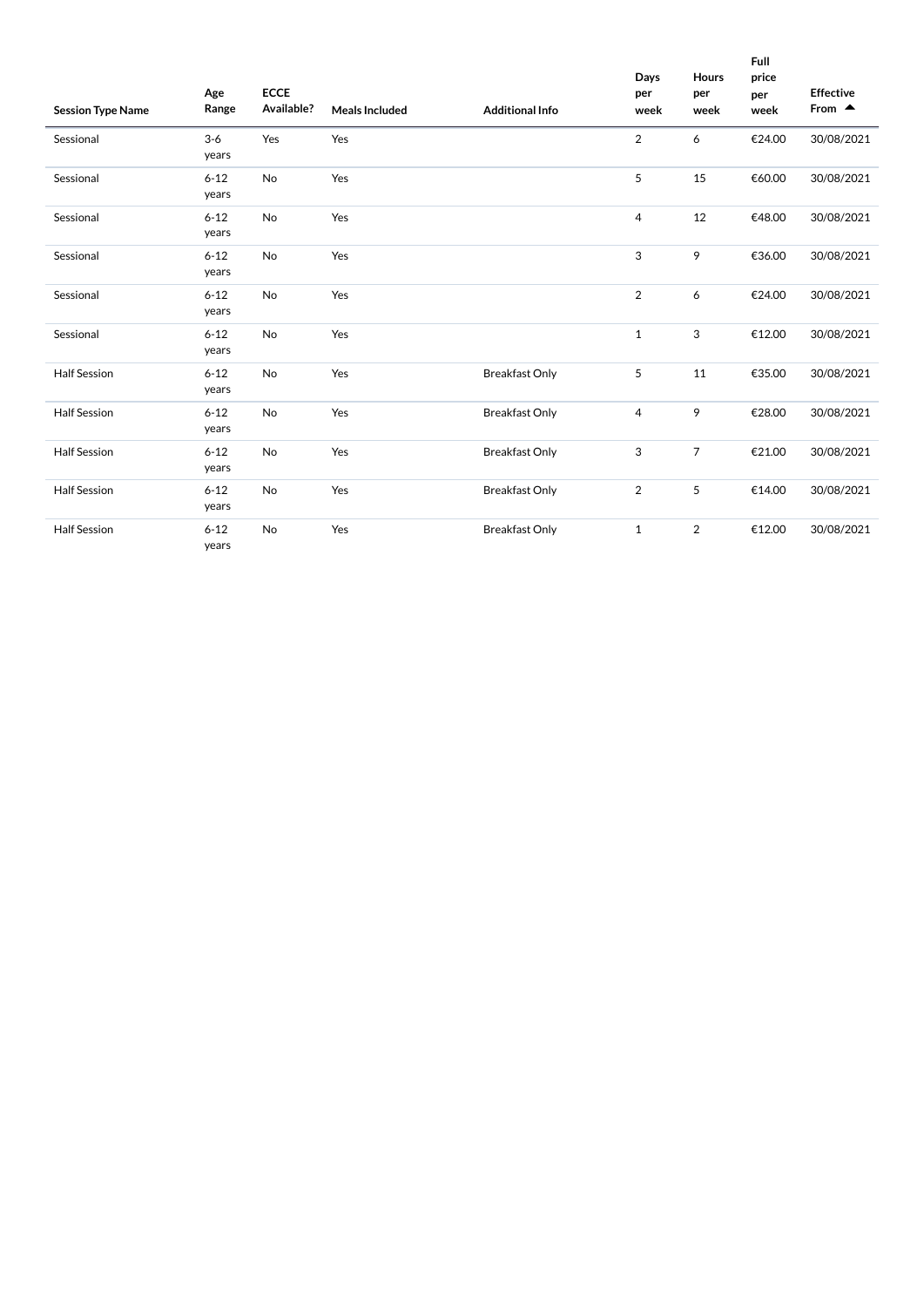| <b>Session Type Name</b> | Age<br>Range      | <b>ECCE</b><br>Available? | <b>Meals Included</b> | <b>Additional Info</b> | Days<br>per<br>week | <b>Hours</b><br>per<br>week | Full<br>price<br>per<br>week | <b>Effective</b><br>From $\triangle$ |
|--------------------------|-------------------|---------------------------|-----------------------|------------------------|---------------------|-----------------------------|------------------------------|--------------------------------------|
| Sessional                | $3-6$<br>years    | Yes                       | Yes                   |                        | 2                   | 6                           | €24.00                       | 30/08/2021                           |
| Sessional                | $6 - 12$<br>years | No                        | Yes                   |                        | 5                   | 15                          | €60.00                       | 30/08/2021                           |
| Sessional                | $6 - 12$<br>years | No                        | Yes                   |                        | 4                   | 12                          | €48.00                       | 30/08/2021                           |
| Sessional                | $6 - 12$<br>years | No                        | Yes                   |                        | 3                   | 9                           | €36.00                       | 30/08/2021                           |
| Sessional                | $6 - 12$<br>years | No                        | Yes                   |                        | 2                   | 6                           | €24.00                       | 30/08/2021                           |
| Sessional                | $6 - 12$<br>years | No                        | Yes                   |                        | 1                   | 3                           | €12.00                       | 30/08/2021                           |
| <b>Half Session</b>      | $6 - 12$<br>years | No                        | Yes                   | <b>Breakfast Only</b>  | 5                   | 11                          | €35.00                       | 30/08/2021                           |
| <b>Half Session</b>      | $6 - 12$<br>years | No                        | Yes                   | <b>Breakfast Only</b>  | 4                   | 9                           | €28.00                       | 30/08/2021                           |
| <b>Half Session</b>      | $6 - 12$<br>years | No                        | Yes                   | <b>Breakfast Only</b>  | 3                   | $\overline{7}$              | €21.00                       | 30/08/2021                           |
| <b>Half Session</b>      | $6 - 12$<br>years | No                        | Yes                   | <b>Breakfast Only</b>  | $\overline{2}$      | 5                           | €14.00                       | 30/08/2021                           |
| <b>Half Session</b>      | $6 - 12$<br>years | No                        | Yes                   | <b>Breakfast Only</b>  | $\mathbf{1}$        | $\overline{2}$              | €12.00                       | 30/08/2021                           |